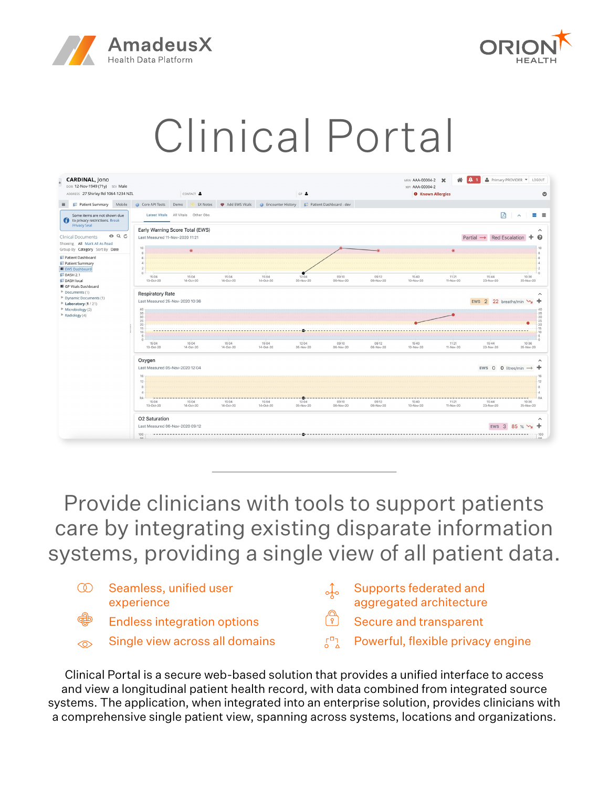



# Clinical Portal



Provide clinicians with tools to support patients care by integrating existing disparate information systems, providing a single view of all patient data.

| $\infty$ | Seamless, unified user<br>experience | Supports federated and<br>aggregated architecture |
|----------|--------------------------------------|---------------------------------------------------|
| ∰        | <b>Endless integration options</b>   | Secure and transparent                            |
| $\odot$  | Single view across all domains       | $\sqrt{27}$ Powerful, flexible privacy engine     |

Clinical Portal is a secure web-based solution that provides a unified interface to access and view a longitudinal patient health record, with data combined from integrated source systems. The application, when integrated into an enterprise solution, provides clinicians with a comprehensive single patient view, spanning across systems, locations and organizations.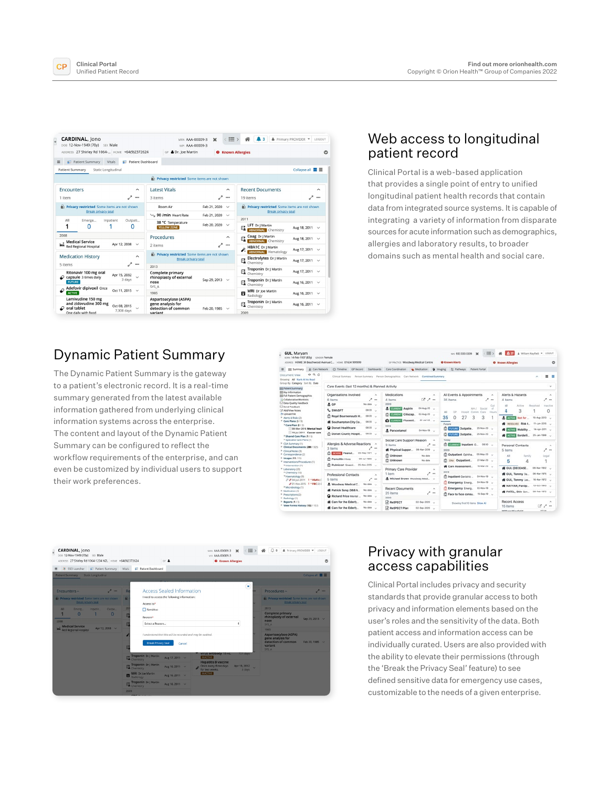

| <b>CARDINAL, Jono</b><br>DOB 12-Nov-1949 (70v) SEX Male<br>ADDRESS 27 Shirley Rd 1064- HOME +64(9)2372624 |                                  | MRN AAA-00009-3<br>MPL AAA-00009-3<br>GP & Dr. loe Martin                | $\mathbf x$                                         | 三、<br>k 3<br><b>O</b> Known Allergies                             | & Primary PROVIDER -<br>LOGOUT |
|-----------------------------------------------------------------------------------------------------------|----------------------------------|--------------------------------------------------------------------------|-----------------------------------------------------|-------------------------------------------------------------------|--------------------------------|
| <b>F</b> Patient Summary<br>$\equiv$<br>Vitals                                                            | <b>Patient Dashboard</b>         |                                                                          |                                                     |                                                                   |                                |
| <b>Patient Summary</b><br>Static Longitudinal                                                             |                                  |                                                                          |                                                     |                                                                   | Collapse all ■ ■               |
|                                                                                                           |                                  | Privacy restricted Some items are not shown                              |                                                     |                                                                   |                                |
| <b>Encounters</b><br>1 item                                                                               | $\sim$<br>$\cdots$               | <b>Latest Vitals</b><br>3 items                                          | $\sim$<br>$\epsilon^{\mu}$<br>                      | <b>Recent Documents</b><br>19 items                               | $\sim$<br>                     |
| Privacy restricted Some items are not shown<br><b>Break privacy seal</b>                                  |                                  | Room Air<br>50 /min Heart Rate                                           | Feb 21, 2020<br>$\checkmark$<br>Feb 21, 2020 $\vee$ | Privacy restricted Some items are not shown<br>Break privacy seal |                                |
| All<br>Emerge<br>Inpatient                                                                                | Outpati                          | 38 °C Temperature                                                        |                                                     | 2011                                                              |                                |
| n                                                                                                         | 0                                | <b>YELLOW ZONE</b>                                                       | Feb 20, 2020<br>$\checkmark$                        | LFT Dr   Martin<br>G,<br><b>ABNORMAL</b> Chemistry                | Aug 18, 2011 v                 |
| 2008<br>+ Medical Service                                                                                 |                                  | Procedures                                                               | $\sim$                                              | Coag Dr J Martin<br>G,<br><b>ABNORMAL</b> Chemistry               | Aug 18, 2011 V                 |
| <b>Red Regional Hospital</b>                                                                              | Apr 12, 2008<br>$\checkmark$     | 2 items                                                                  |                                                     | <b>HBA1C</b> Dr J Martin<br><b>ABNORMAL</b> Hematology            | Aug 17, 2011 $\vee$            |
| <b>Medication History</b>                                                                                 | $\sim$<br>                       | Privacy restricted Some items are not shown<br><b>Break privacy seal</b> |                                                     | Electrolytes Dr J Martin<br>EL Chemistry                          | Aug 17, 2011 v                 |
| 5 items                                                                                                   |                                  | 2013                                                                     |                                                     | Troponin Dr J Martin                                              | Aug 17, 2011 V                 |
| Ritonavir 100 mg oral<br>$\mathcal Q$ capsule 3 times daily<br><b>FUTURE</b>                              | Apr 15, 2032<br>$\sim$<br>3 days | <b>Complete primary</b><br>rhinoplasty of external<br>nose               | Sep 29, 2013 $\vee$                                 | Chemistry<br>Troponin Dr J Martin<br>$E_{\text{A}}$ Chemistry     | Aug 16, 2011 v                 |
| Adefovir dipivoxil Once<br><b>ACTIVE</b>                                                                  | Oct 11, 2015 $\vee$              | SYS A<br>1985                                                            |                                                     | <b>MRI</b> Dr loe Martin<br>B                                     | Aug 16, 2011 v                 |
| Lamivudine 150 mg<br>and zidovudine 300 mg<br>$\omega$ oral tablet                                        | Oct 08, 2015<br>7,308 days       | Aspartoacylase (ASPA)<br>gene analysis for<br>detection of common        | Feb 20, 1985 $\vee$                                 | Radiology<br>Troponin Dr   Martin<br>Chemistry                    | Aug 16, 2011 v                 |

#### Web access to longitudinal patient record

Clinical Portal is a web-based application that provides a single point of entry to unified longitudinal patient health records that contain data from integrated source systems. It is capable of integrating a variety of information from disparate sources for acute information such as demographics, allergies and laboratory results, to broader domains such as mental health and social care.

## Dynamic Patient Summary

The Dynamic Patient Summary is the gateway to a patient's electronic record. It is a real-time summary generated from the latest available information gathered from underlying clinical information systems across the enterprise. The content and layout of the Dynamic Patient Summary can be configured to reflect the workflow requirements of the enterprise, and can even be customized by individual users to support their work preferences.

| <b>GUL, Maryam</b><br>sons 14-Feb-1937 (83y) covors Female<br>ADDRESS HOME 34 Beachwood Avenue C., HOME 01634 999999                                                                                         |                         |                                                                                      |                                     |                                                                                   | OF PAACTICE Woodway Medical Centre                 |                                              | ter: 933 333 3339<br><b>O</b> Known Alerts     | 這<br>$\mathbf{x}$                               | A 37<br><b>O</b> Known Allergies                                                |             | & William Mayfield . LOGOUT               | $\circ$                        |
|--------------------------------------------------------------------------------------------------------------------------------------------------------------------------------------------------------------|-------------------------|--------------------------------------------------------------------------------------|-------------------------------------|-----------------------------------------------------------------------------------|----------------------------------------------------|----------------------------------------------|------------------------------------------------|-------------------------------------------------|---------------------------------------------------------------------------------|-------------|-------------------------------------------|--------------------------------|
| <b>III Summary</b>                                                                                                                                                                                           | <b>Jt.</b> Care Network | C) Timeline CP Record                                                                |                                     | Dashboards Care Coordination & Medication Q Imaging                               |                                                    |                                              | 22 Fathways Patient Portal                     |                                                 |                                                                                 |             |                                           |                                |
| Document View<br>Showing All Mark All As Read<br>Group by Category Sort by Date                                                                                                                              | 000                     |                                                                                      |                                     | Clinical Summary Person Summary Person Demographics Care Network Combined Summary |                                                    |                                              |                                                |                                                 |                                                                                 |             | A.                                        | 三三                             |
| <b>IIII Patient Summary</b><br>III Key Information<br><b>III Full Patient Demographics</b><br>Collaborative Workfists                                                                                        |                         | Care Events (last 12 months) & Planned Activity<br>Organisations Involved<br>6 items | $\mathcal{A}_1$<br>↗<br>$-$         | Medications<br>4 items                                                            | ビノー                                                | $\hat{\phantom{a}}$                          | All Events & Appointments<br>35 items          | $\mathcal{A}_1$<br>$\mathcal{L} =$              | Alerts & Hazards<br>4 items                                                     |             |                                           | $\geq$                         |
| C Data Quality Feedback<br>Si Send Feedback<br>Til Add/View Notes                                                                                                                                            |                         | $A$ $C$ <sup>p</sup><br><b>L</b> SWASFT                                              | No date<br>08:20 -                  | 2020<br><b>A. COUNTY Aspirin</b>                                                  | 04-Aug-20                                          |                                              |                                                | Out<br>MHI Shelat<br>$-$                        | AII<br>4                                                                        | Action<br>3 | Resplied                                  | Insetter<br>٥                  |
| 3 Upload File<br>P. Alayts & Rodes City<br><sup>V</sup> Care Plans (\$ / %)<br><sup>31</sup> Care Plan (2.12)<br>08-Mar-2016 Mental healt<br>19-Jul-2011 Cancer care<br><sup>2</sup> Shared Care Plan (171)  |                         | <b>Royal Bournemouth H.</b><br><b>#</b> Southampton City Co                          | 08:20 -<br>05:20 LL                 | C CURRIST CHAZAB<br>CURRINT Fluoxeti                                              | 02-Aug-20<br>$20 - 346 - 20$                       | $\lambda$ 2<br>35                            | 0.5<br>27<br>$\Omega$                          | Hospit Comm.<br>Care<br>Hours<br>3<br>3         | <b>A. Bannya Not for</b>                                                        |             | 15-Aug-2013                               |                                |
|                                                                                                                                                                                                              |                         | <b>Q</b> Dorset Healthcare<br><b>ITI Dorset County Hospit</b>                        | $0820 -$<br>08:20 -                 | 2019<br>A. Paracetamol                                                            | D4-Nov-19                                          | Future                                       | C District Outpatie.                           | 25-Nov-20<br>El Entrata Outpatie. 25-Nov-20. U  | <b>4 sesouve Risk t.</b><br><b>W Elling Mobility</b><br><b># ESSIN Borderil</b> |             | 11-Jun-2016<br>14-Apr-2011<br>25-Jan-1998 |                                |
| <sup>b</sup> Specialist Care Plans (1)<br>P CGA Summary (1)<br>Clinical Decuments (280 / 325)<br>P. Clinwal Notes (%)<br><sup>b</sup> Correspondence (2)                                                     |                         | Allergies & Adverse Reactions ^<br>3 items<br><b>Collage Peanut.</b>                 | <b>Sept</b><br>05-May-1971 U        | Social Care Support Reason<br>3 items<br><b>Ct Unknown</b>                        | , n.<br>Physical Suppor_ 06-Mar-2019 __<br>No date | Today<br>$\sim$<br>2020                      | C Outpatient Cohtha                            | FT EUROPEN Inpatient G., 0800<br>05-May-20      | Personal Contacts<br>5 items<br>Alt                                             |             |                                           | $\sigma_{\rm t}$<br><b>7 m</b> |
| <sup>2</sup> Images (11/15)<br>V Interventions/Procedures (1)<br>P Intervention (1)<br>* Laboratory (20)<br>P Chemistry (10)<br>** Haematology (S)<br>D # 04-jun-2019 1 *HMMEC<br># 01-Nov-2015 1 *FBC (2) E |                         | <b>Ct Penicillin Hives</b><br><sup>2</sup> Pulmicort Sneezi, 25-Nov-2015             | 09-Jul-1995                         | <sup>29</sup> Unknown                                                             | No date                                            |                                              | DNA Outpatient<br><b>&amp;</b> Care Assessment | 27-Mar-20 LL<br>16-Mar-20. u.                   | 5                                                                               | Family<br>Δ |                                           | Legal                          |
|                                                                                                                                                                                                              |                         | Professional Contacts<br>5 items                                                     | $\sim$<br>↗<br>$\cdots$             | Primary Care Provider<br>1 item                                                   | è<br>& Michael Brown Woodway Med.                  | $\mathcal{A}_\mathbf{t}$<br>2019<br>$\cdots$ | <b>CI Emergency Emerg</b>                      | ITI Inpatient Geriatric  64-Nov-19<br>04-Nov-19 | <b>W</b> GUL (DECEASE<br><b>W</b> GUL, Temmy Da<br>GUL, Temmy Las               |             | 08-Mar-1932<br>DE-Mar-1975<br>16-Mar-1972 |                                |
| <sup>2</sup> Microbiology (T)<br><sup>6</sup> Medication (2)<br>P Prescriptions (2)<br><sup>F</sup> Radology <sup>(1)</sup>                                                                                  |                         | & Woodway Medical C.<br><b>#</b> Patrick Song (368 A.<br>Richard Price Mental        | No date __<br>No date<br>No date __ | <b>Recent Documents</b><br>25 items<br>2020                                       | $\mathcal{L} =$                                    | $\mathcal{S}_\mathbf{r}$                     | m Emergency Emerg                              | 02-Nov-19<br>Til Face to face consu 10-5rp-19.  | * NAYYAR, Pardio<br><b># PATEL, Shiv Son</b>                                    |             | 13-Oct-1943<br>08-Feb-1972                |                                |
| P Reports (1 / 3)<br><sup>1</sup> View Forms History (132 / 157)                                                                                                                                             |                         | <b>#</b> Care for the Elderly<br><b>N</b> Care for the Elderly.                      | No date<br>No-date                  | <b>In</b> Respect<br><b>DI ReSPECT Plan</b>                                       | 03-Sep-2020<br>02-Sep-2020                         |                                              |                                                | Showing first 10 items Show All                 | Record Access<br>15 items                                                       |             | $\mathbb{C}$ $\geq$ $-$                   |                                |



## Privacy with granular access capabilities

Clinical Portal includes privacy and security standards that provide granular access to both privacy and information elements based on the user's roles and the sensitivity of the data. Both patient access and information access can be individually curated. Users are also provided with the ability to elevate their permissions (through the 'Break the Privacy Seal' feature) to see defined sensitive data for emergency use cases, customizable to the needs of a given enterprise.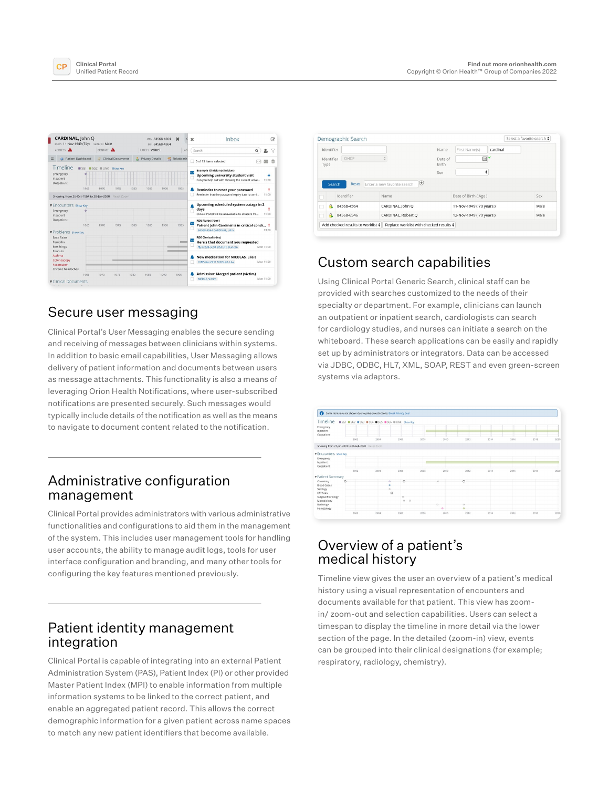



## Secure user messaging

Clinical Portal's User Messaging enables the secure sending and receiving of messages between clinicians within systems. In addition to basic email capabilities, User Messaging allows delivery of patient information and documents between users as message attachments. This functionality is also a means of leveraging Orion Health Notifications, where user-subscribed notifications are presented securely. Such messages would typically include details of the notification as well as the means to navigate to document content related to the notification.

## Administrative configuration management

Clinical Portal provides administrators with various administrative functionalities and configurations to aid them in the management of the system. This includes user management tools for handling user accounts, the ability to manage audit logs, tools for user interface configuration and branding, and many other tools for configuring the key features mentioned previously.

### Patient identity management integration

Clinical Portal is capable of integrating into an external Patient Administration System (PAS), Patient Index (PI) or other provided Master Patient Index (MPI) to enable information from multiple information systems to be linked to the correct patient, and enable an aggregated patient record. This allows the correct demographic information for a given patient across name spaces to match any new patient identifiers that become available.

|                            | Identifier |              | Name                              | First Name(s) | cardinal               |  |      |
|----------------------------|------------|--------------|-----------------------------------|---------------|------------------------|--|------|
| OHCP<br>Identifier<br>Type |            |              | ×<br>Date of<br>Birth<br>÷<br>Sex |               |                        |  |      |
|                            |            | <b>Reset</b> | ⊕<br>Enter a new favorite search  |               |                        |  |      |
|                            | Search     | Identifier   | Name                              |               | Date of Birth (Age)    |  | Sex  |
|                            |            | 84568-4564   | CARDINAL, John O                  |               | 11-Nov-1949 (70 years) |  | Male |

## Custom search capabilities

Using Clinical Portal Generic Search, clinical staff can be provided with searches customized to the needs of their specialty or department. For example, clinicians can launch an outpatient or inpatient search, cardiologists can search for cardiology studies, and nurses can initiate a search on the whiteboard. These search applications can be easily and rapidly set up by administrators or integrators. Data can be accessed via JDBC, ODBC, HL7, XML, SOAP, REST and even green-screen systems via adaptors.



## Overview of a patient's medical history

Timeline view gives the user an overview of a patient's medical history using a visual representation of encounters and documents available for that patient. This view has zoomin/ zoom-out and selection capabilities. Users can select a timespan to display the timeline in more detail via the lower section of the page. In the detailed (zoom-in) view, events can be grouped into their clinical designations (for example; respiratory, radiology, chemistry).